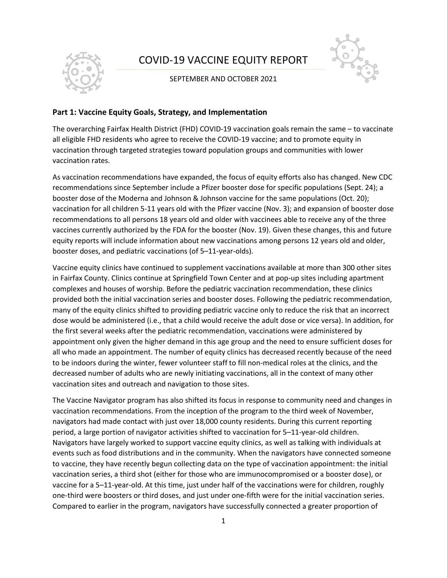

# COVID-19 VACCINE EQUITY REPORT

#### SEPTEMBER AND OCTOBER 2021



#### **Part 1: Vaccine Equity Goals, Strategy, and Implementation**

The overarching Fairfax Health District (FHD) COVID-19 vaccination goals remain the same – to vaccinate all eligible FHD residents who agree to receive the COVID-19 vaccine; and to promote equity in vaccination through targeted strategies toward population groups and communities with lower vaccination rates.

As vaccination recommendations have expanded, the focus of equity efforts also has changed. New CDC recommendations since September include a Pfizer booster dose for specific populations (Sept. 24); a booster dose of the Moderna and Johnson & Johnson vaccine for the same populations (Oct. 20); vaccination for all children 5-11 years old with the Pfizer vaccine (Nov. 3); and expansion of booster dose recommendations to all persons 18 years old and older with vaccinees able to receive any of the three vaccines currently authorized by the FDA for the booster (Nov. 19). Given these changes, this and future equity reports will include information about new vaccinations among persons 12 years old and older, booster doses, and pediatric vaccinations (of 5–11-year-olds).

Vaccine equity clinics have continued to supplement vaccinations available at more than 300 other sites in Fairfax County. Clinics continue at Springfield Town Center and at pop-up sites including apartment complexes and houses of worship. Before the pediatric vaccination recommendation, these clinics provided both the initial vaccination series and booster doses. Following the pediatric recommendation, many of the equity clinics shifted to providing pediatric vaccine only to reduce the risk that an incorrect dose would be administered (i.e., that a child would receive the adult dose or vice versa). In addition, for the first several weeks after the pediatric recommendation, vaccinations were administered by appointment only given the higher demand in this age group and the need to ensure sufficient doses for all who made an appointment. The number of equity clinics has decreased recently because of the need to be indoors during the winter, fewer volunteer staff to fill non-medical roles at the clinics, and the decreased number of adults who are newly initiating vaccinations, all in the context of many other vaccination sites and outreach and navigation to those sites.

The Vaccine Navigator program has also shifted its focus in response to community need and changes in vaccination recommendations. From the inception of the program to the third week of November, navigators had made contact with just over 18,000 county residents. During this current reporting period, a large portion of navigator activities shifted to vaccination for 5–11-year-old children. Navigators have largely worked to support vaccine equity clinics, as well as talking with individuals at events such as food distributions and in the community. When the navigators have connected someone to vaccine, they have recently begun collecting data on the type of vaccination appointment: the initial vaccination series, a third shot (either for those who are immunocompromised or a booster dose), or vaccine for a 5–11-year-old. At this time, just under half of the vaccinations were for children, roughly one-third were boosters or third doses, and just under one-fifth were for the initial vaccination series. Compared to earlier in the program, navigators have successfully connected a greater proportion of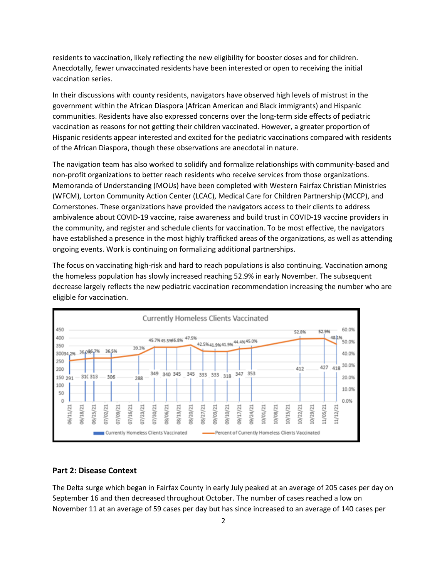residents to vaccination, likely reflecting the new eligibility for booster doses and for children. Anecdotally, fewer unvaccinated residents have been interested or open to receiving the initial vaccination series.

In their discussions with county residents, navigators have observed high levels of mistrust in the government within the African Diaspora (African American and Black immigrants) and Hispanic communities. Residents have also expressed concerns over the long-term side effects of pediatric vaccination as reasons for not getting their children vaccinated. However, a greater proportion of Hispanic residents appear interested and excited for the pediatric vaccinations compared with residents of the African Diaspora, though these observations are anecdotal in nature.

The navigation team has also worked to solidify and formalize relationships with community-based and non-profit organizations to better reach residents who receive services from those organizations. Memoranda of Understanding (MOUs) have been completed with Western Fairfax Christian Ministries (WFCM), Lorton Community Action Center (LCAC), Medical Care for Children Partnership (MCCP), and Cornerstones. These organizations have provided the navigators access to their clients to address ambivalence about COVID-19 vaccine, raise awareness and build trust in COVID-19 vaccine providers in the community, and register and schedule clients for vaccination. To be most effective, the navigators have established a presence in the most highly trafficked areas of the organizations, as well as attending ongoing events. Work is continuing on formalizing additional partnerships.

The focus on vaccinating high-risk and hard to reach populations is also continuing. Vaccination among the homeless population has slowly increased reaching 52.9% in early November. The subsequent decrease largely reflects the new pediatric vaccination recommendation increasing the number who are eligible for vaccination.



#### **Part 2: Disease Context**

The Delta surge which began in Fairfax County in early July peaked at an average of 205 cases per day on September 16 and then decreased throughout October. The number of cases reached a low on November 11 at an average of 59 cases per day but has since increased to an average of 140 cases per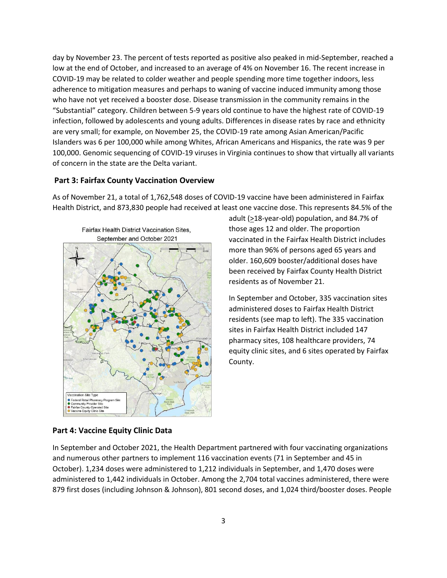day by November 23. The percent of tests reported as positive also peaked in mid-September, reached a low at the end of October, and increased to an average of 4% on November 16. The recent increase in COVID-19 may be related to colder weather and people spending more time together indoors, less adherence to mitigation measures and perhaps to waning of vaccine induced immunity among those who have not yet received a booster dose. Disease transmission in the community remains in the "Substantial" category. Children between 5-9 years old continue to have the highest rate of COVID-19 infection, followed by adolescents and young adults. Differences in disease rates by race and ethnicity are very small; for example, on November 25, the COVID-19 rate among Asian American/Pacific Islanders was 6 per 100,000 while among Whites, African Americans and Hispanics, the rate was 9 per 100,000. Genomic sequencing of COVID-19 viruses in Virginia continues to show that virtually all variants of concern in the state are the Delta variant.

#### **Part 3: Fairfax County Vaccination Overview**

As of November 21, a total of 1,762,548 doses of COVID-19 vaccine have been administered in Fairfax Health District, and 873,830 people had received at least one vaccine dose. This represents 84.5% of the



adult (>18-year-old) population, and 84.7% of those ages 12 and older. The proportion vaccinated in the Fairfax Health District includes more than 96% of persons aged 65 years and older. 160,609 booster/additional doses have been received by Fairfax County Health District residents as of November 21.

In September and October, 335 vaccination sites administered doses to Fairfax Health District residents (see map to left). The 335 vaccination sites in Fairfax Health District included 147 pharmacy sites, 108 healthcare providers, 74 equity clinic sites, and 6 sites operated by Fairfax County.

#### **Part 4: Vaccine Equity Clinic Data**

In September and October 2021, the Health Department partnered with four vaccinating organizations and numerous other partners to implement 116 vaccination events (71 in September and 45 in October). 1,234 doses were administered to 1,212 individuals in September, and 1,470 doses were administered to 1,442 individuals in October. Among the 2,704 total vaccines administered, there were 879 first doses (including Johnson & Johnson), 801 second doses, and 1,024 third/booster doses. People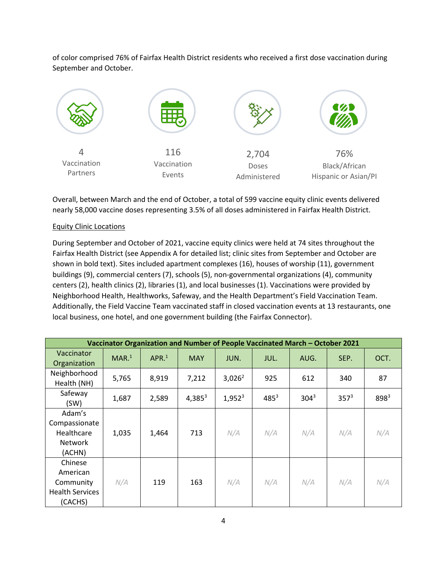of color comprised 76% of Fairfax Health District residents who received a first dose vaccination during September and October.



Overall, between March and the end of October, a total of 599 vaccine equity clinic events delivered nearly 58,000 vaccine doses representing 3.5% of all doses administered in Fairfax Health District.

#### Equity Clinic Locations

During September and October of 2021, vaccine equity clinics were held at 74 sites throughout the Fairfax Health District (see Appendix A for detailed list; clinic sites from September and October are shown in bold text). Sites included apartment complexes (16), houses of worship (11), government buildings (9), commercial centers (7), schools (5), non-governmental organizations (4), community centers (2), health clinics (2), libraries (1), and local businesses (1). Vaccinations were provided by Neighborhood Health, Healthworks, Safeway, and the Health Department's Field Vaccination Team. Additionally, the Field Vaccine Team vaccinated staff in closed vaccination events at 13 restaurants, one local business, one hotel, and one government building (the Fairfax Connector).

| Vaccinator Organization and Number of People Vaccinated March - October 2021 |                   |                   |            |           |           |         |         |           |
|------------------------------------------------------------------------------|-------------------|-------------------|------------|-----------|-----------|---------|---------|-----------|
| Vaccinator<br>Organization                                                   | MAR. <sup>1</sup> | APR. <sup>1</sup> | <b>MAY</b> | JUN.      | JUL.      | AUG.    | SEP.    | OCT.      |
| Neighborhood<br>Health (NH)                                                  | 5,765             | 8,919             | 7,212      | $3,026^2$ | 925       | 612     | 340     | 87        |
| Safeway<br>(SW)                                                              | 1,687             | 2,589             | $4,385^3$  | $1,952^3$ | $485^{3}$ | $304^3$ | $357^3$ | $898^{3}$ |
| Adam's<br>Compassionate<br>Healthcare<br><b>Network</b><br>(ACHN)            | 1,035             | 1,464             | 713        | N/A       | N/A       | N/A     | N/A     | N/A       |
| Chinese<br>American<br>Community<br><b>Health Services</b><br>(CACHS)        | N/A               | 119               | 163        | N/A       | N/A       | N/A     | N/A     | N/A       |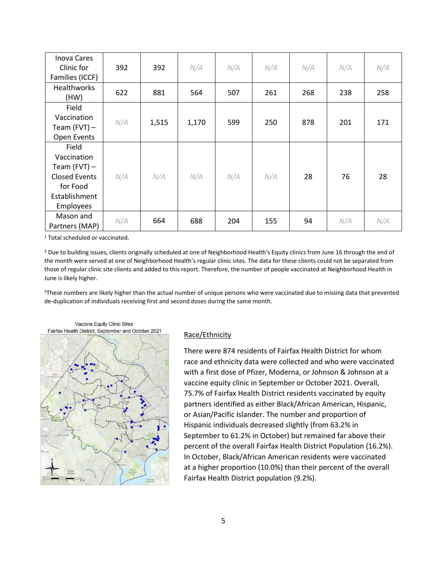| <b>Inova Cares</b><br>Clinic for<br>Families (ICCF) | 392 | 392   | N/A   | N/A | N/A | N/A | N/A | N/A |
|-----------------------------------------------------|-----|-------|-------|-----|-----|-----|-----|-----|
| <b>Healthworks</b><br>(HW)                          | 622 | 881   | 564   | 507 | 261 | 268 | 238 | 258 |
| Field                                               |     |       |       |     |     |     |     |     |
| Vaccination                                         | N/A | 1,515 | 1,170 | 599 | 250 | 878 | 201 | 171 |
| Team $(FVT)$ –                                      |     |       |       |     |     |     |     |     |
| Open Events                                         |     |       |       |     |     |     |     |     |
| Field                                               |     |       |       |     |     |     |     |     |
| Vaccination                                         |     |       |       |     |     |     |     |     |
| Team $(FVT)$ –                                      |     |       |       |     |     |     |     |     |
| <b>Closed Events</b>                                | N/A | N/A   | N/A   | N/A | N/A | 28  | 76  | 28  |
| for Food                                            |     |       |       |     |     |     |     |     |
| Establishment                                       |     |       |       |     |     |     |     |     |
| Employees                                           |     |       |       |     |     |     |     |     |
| Mason and                                           | N/A | 664   |       |     |     |     | N/A | N/A |
| Partners (MAP)                                      |     |       | 688   | 204 | 155 | 94  |     |     |

<sup>1</sup> Total scheduled or vaccinated.

<sup>2</sup> Due to building issues, clients originally scheduled at one of Neighborhood Health's Equity clinics from June 16 through the end of the month were served at one of Neighborhood Health's regular clinic sites. The data for these clients could not be separated from those of regular clinic site clients and added to this report. Therefore, the number of people vaccinated at Neighborhood Health in June is likely higher.

<sup>3</sup>These numbers are likely higher than the actual number of unique persons who were vaccinated due to missing data that prevented de-duplication of individuals receiving first and second doses during the same month.



#### Race/Ethnicity

There were 874 residents of Fairfax Health District for whom race and ethnicity data were collected and who were vaccinated with a first dose of Pfizer, Moderna, or Johnson & Johnson at a vaccine equity clinic in September or October 2021. Overall, 75.7% of Fairfax Health District residents vaccinated by equity partners identified as either Black/African American, Hispanic, or Asian/Pacific Islander. The number and proportion of Hispanic individuals decreased slightly (from 63.2% in September to 61.2% in October) but remained far above their percent of the overall Fairfax Health District Population (16.2%). In October, Black/African American residents were vaccinated at a higher proportion (10.0%) than their percent of the overall Fairfax Health District population (9.2%).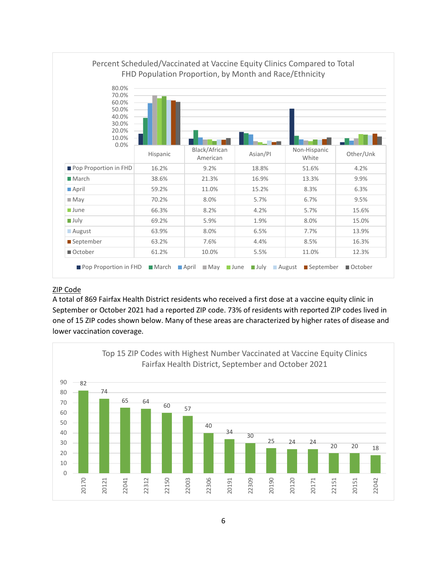

### ZIP Code

A total of 869 Fairfax Health District residents who received a first dose at a vaccine equity clinic in September or October 2021 had a reported ZIP code. 73% of residents with reported ZIP codes lived in one of 15 ZIP codes shown below. Many of these areas are characterized by higher rates of disease and lower vaccination coverage.

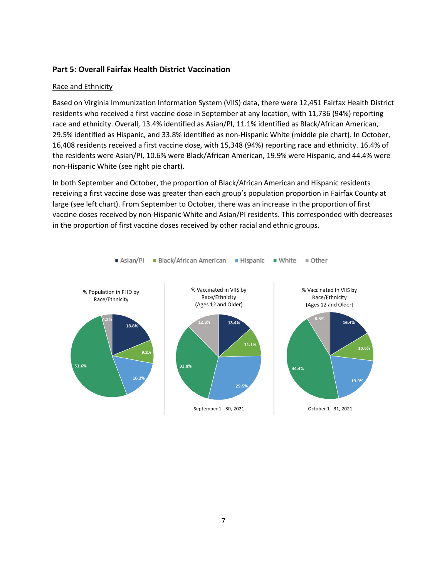### **Part 5: Overall Fairfax Health District Vaccination**

#### Race and Ethnicity

Based on Virginia Immunization Information System (VIIS) data, there were 12,451 Fairfax Health District residents who received a first vaccine dose in September at any location, with 11,736 (94%) reporting race and ethnicity. Overall, 13.4% identified as Asian/PI, 11.1% identified as Black/African American, 29.5% identified as Hispanic, and 33.8% identified as non-Hispanic White (middle pie chart). In October, 16,408 residents received a first vaccine dose, with 15,348 (94%) reporting race and ethnicity. 16.4% of the residents were Asian/PI, 10.6% were Black/African American, 19.9% were Hispanic, and 44.4% were non-Hispanic White (see right pie chart).

In both September and October, the proportion of Black/African American and Hispanic residents receiving a first vaccine dose was greater than each group's population proportion in Fairfax County at large (see left chart). From September to October, there was an increase in the proportion of first vaccine doses received by non-Hispanic White and Asian/PI residents. This corresponded with decreases in the proportion of first vaccine doses received by other racial and ethnic groups.

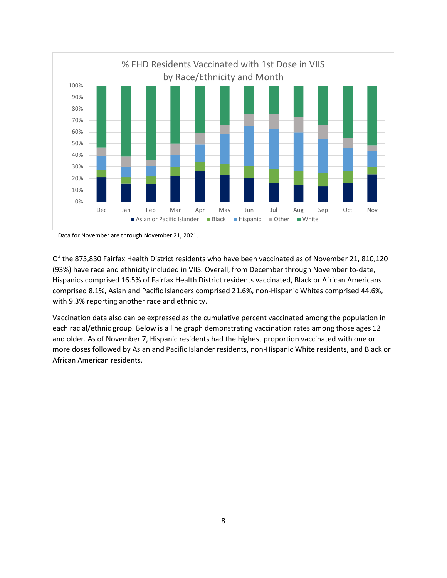

Data for November are through November 21, 2021.

Of the 873,830 Fairfax Health District residents who have been vaccinated as of November 21, 810,120 (93%) have race and ethnicity included in VIIS. Overall, from December through November to-date, Hispanics comprised 16.5% of Fairfax Health District residents vaccinated, Black or African Americans comprised 8.1%, Asian and Pacific Islanders comprised 21.6%, non-Hispanic Whites comprised 44.6%, with 9.3% reporting another race and ethnicity.

Vaccination data also can be expressed as the cumulative percent vaccinated among the population in each racial/ethnic group. Below is a line graph demonstrating vaccination rates among those ages 12 and older. As of November 7, Hispanic residents had the highest proportion vaccinated with one or more doses followed by Asian and Pacific Islander residents, non-Hispanic White residents, and Black or African American residents.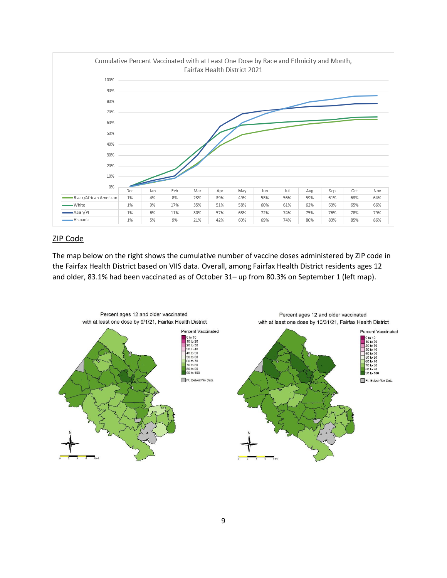

# ZIP Code

The map below on the right shows the cumulative number of vaccine doses administered by ZIP code in the Fairfax Health District based on VIIS data. Overall, among Fairfax Health District residents ages 12 and older, 83.1% had been vaccinated as of October 31– up from 80.3% on September 1 (left map).

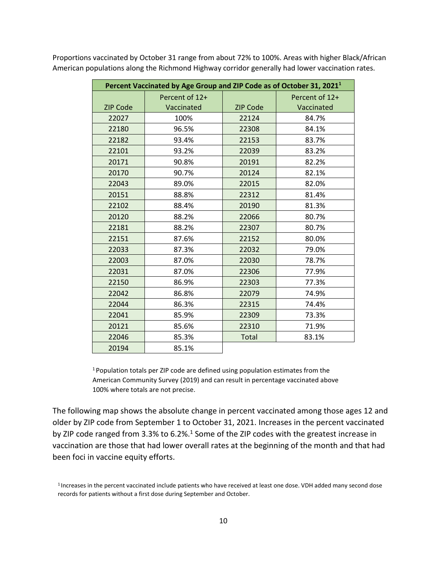| Percent Vaccinated by Age Group and ZIP Code as of October 31, 2021 <sup>1</sup> |                |                 |                |  |
|----------------------------------------------------------------------------------|----------------|-----------------|----------------|--|
|                                                                                  | Percent of 12+ |                 | Percent of 12+ |  |
| <b>ZIP Code</b>                                                                  | Vaccinated     | <b>ZIP Code</b> | Vaccinated     |  |
| 22027                                                                            | 100%           | 22124           | 84.7%          |  |
| 22180                                                                            | 96.5%          | 22308           | 84.1%          |  |
| 22182                                                                            | 93.4%          | 22153           | 83.7%          |  |
| 22101                                                                            | 93.2%          | 22039           | 83.2%          |  |
| 20171                                                                            | 90.8%          | 20191           | 82.2%          |  |
| 20170                                                                            | 90.7%          | 20124           | 82.1%          |  |
| 22043                                                                            | 89.0%          | 22015           | 82.0%          |  |
| 20151                                                                            | 88.8%          | 22312           | 81.4%          |  |
| 22102                                                                            | 88.4%          | 20190           | 81.3%          |  |
| 20120                                                                            | 88.2%          | 22066           | 80.7%          |  |
| 22181                                                                            | 88.2%          | 22307           | 80.7%          |  |
| 22151                                                                            | 87.6%          | 22152           | 80.0%          |  |
| 22033                                                                            | 87.3%          | 22032           | 79.0%          |  |
| 22003                                                                            | 87.0%          | 22030           | 78.7%          |  |
| 22031                                                                            | 87.0%          | 22306           | 77.9%          |  |
| 22150                                                                            | 86.9%          | 22303           | 77.3%          |  |
| 22042                                                                            | 86.8%          | 22079           | 74.9%          |  |
| 22044                                                                            | 86.3%          | 22315           | 74.4%          |  |
| 22041                                                                            | 85.9%          | 22309           | 73.3%          |  |
| 20121                                                                            | 85.6%          | 22310           | 71.9%          |  |
| 22046                                                                            | 85.3%          | Total           | 83.1%          |  |
| 20194                                                                            | 85.1%          |                 |                |  |

Proportions vaccinated by October 31 range from about 72% to 100%. Areas with higher Black/African American populations along the Richmond Highway corridor generally had lower vaccination rates.

> Population totals per ZIP code are defined using population estimates from the American Community Survey (2019) and can result in percentage vaccinated above 100% where totals are not precise.

The following map shows the absolute change in percent vaccinated among those ages 12 and older by ZIP code from September 1 to October 31, 2021. Increases in the percent vaccinated by ZIP code ranged from 3.3% to 6.2%.<sup>1</sup> Some of the ZIP codes with the greatest increase in vaccination are those that had lower overall rates at the beginning of the month and that had been foci in vaccine equity efforts.

Increases in the percent vaccinated include patients who have received at least one dose. VDH added many second dose records for patients without a first dose during September and October.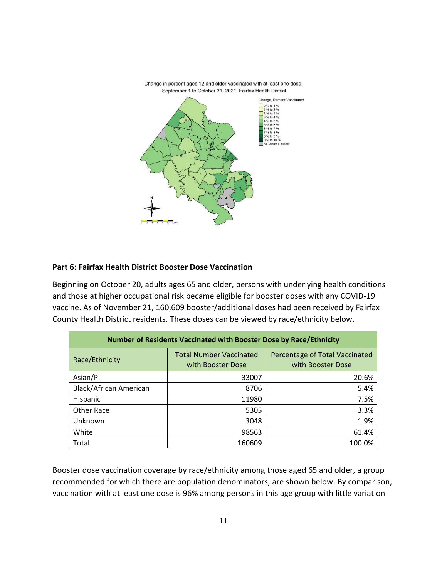

Change in percent ages 12 and older vaccinated with at least one dose, September 1 to October 31, 2021, Fairfax Health District

### **Part 6: Fairfax Health District Booster Dose Vaccination**

Beginning on October 20, adults ages 65 and older, persons with underlying health conditions and those at higher occupational risk became eligible for booster doses with any COVID-19 vaccine. As of November 21, 160,609 booster/additional doses had been received by Fairfax County Health District residents. These doses can be viewed by race/ethnicity below.

| Number of Residents Vaccinated with Booster Dose by Race/Ethnicity |                                                     |                                                     |  |  |
|--------------------------------------------------------------------|-----------------------------------------------------|-----------------------------------------------------|--|--|
| Race/Ethnicity                                                     | <b>Total Number Vaccinated</b><br>with Booster Dose | Percentage of Total Vaccinated<br>with Booster Dose |  |  |
| Asian/Pl                                                           | 33007                                               | 20.6%                                               |  |  |
| <b>Black/African American</b>                                      | 8706                                                | 5.4%                                                |  |  |
| Hispanic                                                           | 11980                                               | 7.5%                                                |  |  |
| Other Race                                                         | 5305                                                | 3.3%                                                |  |  |
| Unknown                                                            | 3048                                                | 1.9%                                                |  |  |
| White                                                              | 98563                                               | 61.4%                                               |  |  |
| Total                                                              | 160609                                              | 100.0%                                              |  |  |

Booster dose vaccination coverage by race/ethnicity among those aged 65 and older, a group recommended for which there are population denominators, are shown below. By comparison, vaccination with at least one dose is 96% among persons in this age group with little variation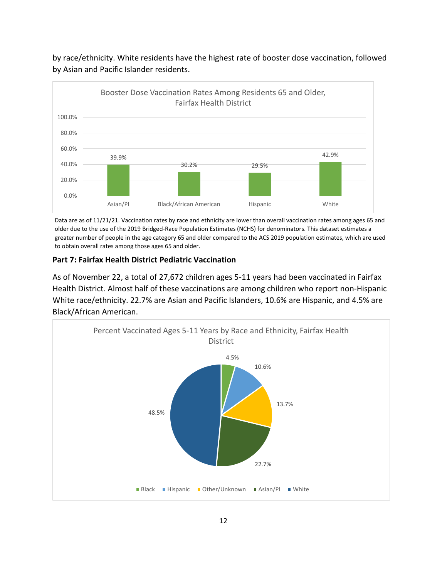

by race/ethnicity. White residents have the highest rate of booster dose vaccination, followed by Asian and Pacific Islander residents.

Data are as of 11/21/21. Vaccination rates by race and ethnicity are lower than overall vaccination rates among ages 65 and older due to the use of the 2019 Bridged-Race Population Estimates (NCHS) for denominators. This dataset estimates a greater number of people in the age category 65 and older compared to the ACS 2019 population estimates, which are used to obtain overall rates among those ages 65 and older.

### **Part 7: Fairfax Health District Pediatric Vaccination**

As of November 22, a total of 27,672 children ages 5-11 years had been vaccinated in Fairfax Health District. Almost half of these vaccinations are among children who report non-Hispanic White race/ethnicity. 22.7% are Asian and Pacific Islanders, 10.6% are Hispanic, and 4.5% are Black/African American.

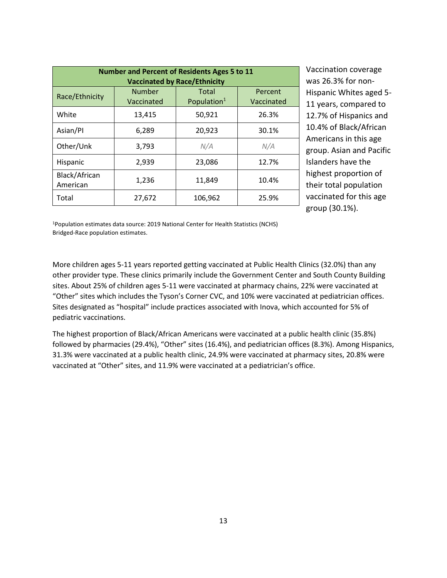| <b>Number and Percent of Residents Ages 5 to 11</b><br><b>Vaccinated by Race/Ethnicity</b> |                             |                                  |                       |  |
|--------------------------------------------------------------------------------------------|-----------------------------|----------------------------------|-----------------------|--|
| Race/Ethnicity                                                                             | <b>Number</b><br>Vaccinated | Total<br>Population <sup>1</sup> | Percent<br>Vaccinated |  |
| White                                                                                      | 13,415                      | 50,921                           | 26.3%                 |  |
| Asian/Pl                                                                                   | 6,289                       | 20,923                           | 30.1%                 |  |
| Other/Unk                                                                                  | 3,793                       | N/A                              | N/A                   |  |
| Hispanic                                                                                   | 2,939                       | 23,086                           | 12.7%                 |  |
| Black/African<br>American                                                                  | 1,236                       | 11,849                           | 10.4%                 |  |
| Total                                                                                      | 27,672                      | 106,962                          | 25.9%                 |  |

Vaccination coverage was 26.3% for non-Hispanic Whites aged 5- 11 years, compared to 12.7% of Hispanics and 10.4% of Black/African Americans in this age group. Asian and Pacific Islanders have the highest proportion of their total population vaccinated for this age group (30.1%).

<sup>1</sup>Population estimates data source: 2019 National Center for Health Statistics (NCHS) Bridged-Race population estimates.

More children ages 5-11 years reported getting vaccinated at Public Health Clinics (32.0%) than any other provider type. These clinics primarily include the Government Center and South County Building sites. About 25% of children ages 5-11 were vaccinated at pharmacy chains, 22% were vaccinated at "Other" sites which includes the Tyson's Corner CVC, and 10% were vaccinated at pediatrician offices. Sites designated as "hospital" include practices associated with Inova, which accounted for 5% of pediatric vaccinations.

The highest proportion of Black/African Americans were vaccinated at a public health clinic (35.8%) followed by pharmacies (29.4%), "Other" sites (16.4%), and pediatrician offices (8.3%). Among Hispanics, 31.3% were vaccinated at a public health clinic, 24.9% were vaccinated at pharmacy sites, 20.8% were vaccinated at "Other" sites, and 11.9% were vaccinated at a pediatrician's office.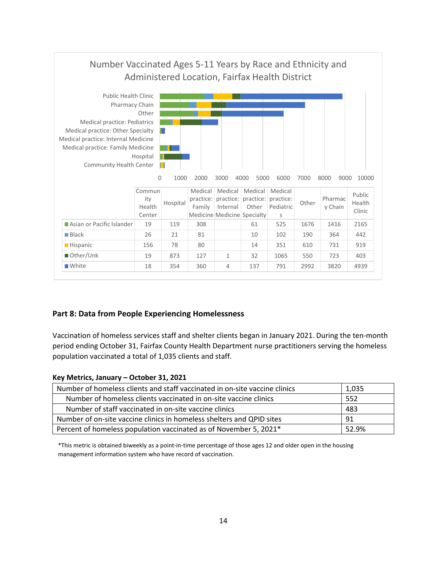

### **Part 8: Data from People Experiencing Homelessness**

Vaccination of homeless services staff and shelter clients began in January 2021. During the ten-month period ending October 31, Fairfax County Health Department nurse practitioners serving the homeless population vaccinated a total of 1,035 clients and staff.

#### **Key Metrics, January – October 31, 2021**

| Number of homeless clients and staff vaccinated in on-site vaccine clinics | 1,035 |
|----------------------------------------------------------------------------|-------|
| Number of homeless clients vaccinated in on-site vaccine clinics           | 552   |
| Number of staff vaccinated in on-site vaccine clinics                      | 483   |
| Number of on-site vaccine clinics in homeless shelters and QPID sites      | -91   |
| Percent of homeless population vaccinated as of November 5, 2021*<br>52.9% |       |

\*This metric is obtained biweekly as a point-in-time percentage of those ages 12 and older open in the housing management information system who have record of vaccination.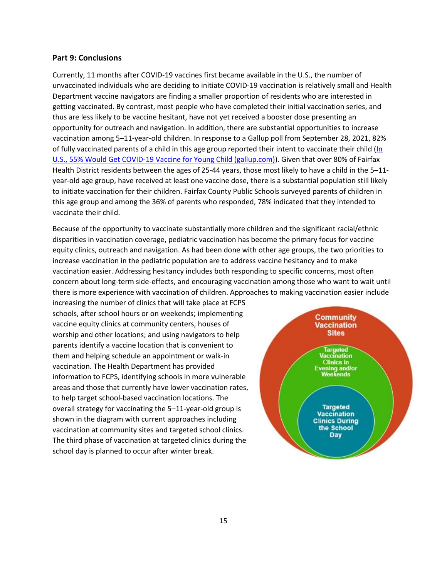#### **Part 9: Conclusions**

Currently, 11 months after COVID-19 vaccines first became available in the U.S., the number of unvaccinated individuals who are deciding to initiate COVID-19 vaccination is relatively small and Health Department vaccine navigators are finding a smaller proportion of residents who are interested in getting vaccinated. By contrast, most people who have completed their initial vaccination series, and thus are less likely to be vaccine hesitant, have not yet received a booster dose presenting an opportunity for outreach and navigation. In addition, there are substantial opportunities to increase vaccination among 5–11-year-old children. In response to a Gallup poll from September 28, 2021, 82% of fully vaccinated parents of a child in this age group reported their intent to vaccinate their child [\(In](https://news.gallup.com/poll/354998/covid-vaccine-young-child.aspx)  [U.S., 55% Would Get COVID-19 Vaccine for Young Child \(gallup.com\)\)](https://news.gallup.com/poll/354998/covid-vaccine-young-child.aspx). Given that over 80% of Fairfax Health District residents between the ages of 25-44 years, those most likely to have a child in the 5–11 year-old age group, have received at least one vaccine dose, there is a substantial population still likely to initiate vaccination for their children. Fairfax County Public Schools surveyed parents of children in this age group and among the 36% of parents who responded, 78% indicated that they intended to vaccinate their child.

Because of the opportunity to vaccinate substantially more children and the significant racial/ethnic disparities in vaccination coverage, pediatric vaccination has become the primary focus for vaccine equity clinics, outreach and navigation. As had been done with other age groups, the two priorities to increase vaccination in the pediatric population are to address vaccine hesitancy and to make vaccination easier. Addressing hesitancy includes both responding to specific concerns, most often concern about long-term side-effects, and encouraging vaccination among those who want to wait until there is more experience with vaccination of children. Approaches to making vaccination easier include

increasing the number of clinics that will take place at FCPS schools, after school hours or on weekends; implementing vaccine equity clinics at community centers, houses of worship and other locations; and using navigators to help parents identify a vaccine location that is convenient to them and helping schedule an appointment or walk-in vaccination. The Health Department has provided information to FCPS, identifying schools in more vulnerable areas and those that currently have lower vaccination rates, to help target school-based vaccination locations. The overall strategy for vaccinating the 5–11-year-old group is shown in the diagram with current approaches including vaccination at community sites and targeted school clinics. The third phase of vaccination at targeted clinics during the school day is planned to occur after winter break.

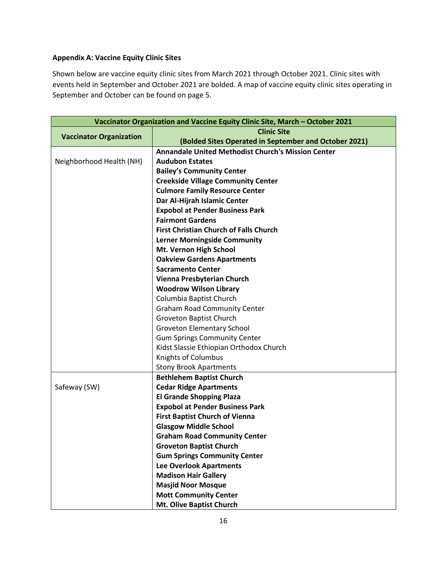## **Appendix A: Vaccine Equity Clinic Sites**

Shown below are vaccine equity clinic sites from March 2021 through October 2021. Clinic sites with events held in September and October 2021 are bolded. A map of vaccine equity clinic sites operating in September and October can be found on page 5.

| Vaccinator Organization and Vaccine Equity Clinic Site, March - October 2021 |                                                           |  |  |  |
|------------------------------------------------------------------------------|-----------------------------------------------------------|--|--|--|
| <b>Clinic Site</b><br><b>Vaccinator Organization</b>                         |                                                           |  |  |  |
|                                                                              | (Bolded Sites Operated in September and October 2021)     |  |  |  |
|                                                                              | <b>Annandale United Methodist Church's Mission Center</b> |  |  |  |
| Neighborhood Health (NH)                                                     | <b>Audubon Estates</b>                                    |  |  |  |
|                                                                              | <b>Bailey's Community Center</b>                          |  |  |  |
|                                                                              | <b>Creekside Village Community Center</b>                 |  |  |  |
|                                                                              | <b>Culmore Family Resource Center</b>                     |  |  |  |
|                                                                              | Dar Al-Hijrah Islamic Center                              |  |  |  |
|                                                                              | <b>Expobol at Pender Business Park</b>                    |  |  |  |
|                                                                              | <b>Fairmont Gardens</b>                                   |  |  |  |
|                                                                              | <b>First Christian Church of Falls Church</b>             |  |  |  |
|                                                                              | <b>Lerner Morningside Community</b>                       |  |  |  |
|                                                                              | Mt. Vernon High School                                    |  |  |  |
|                                                                              | <b>Oakview Gardens Apartments</b>                         |  |  |  |
|                                                                              | <b>Sacramento Center</b>                                  |  |  |  |
|                                                                              | Vienna Presbyterian Church                                |  |  |  |
|                                                                              | <b>Woodrow Wilson Library</b>                             |  |  |  |
|                                                                              | Columbia Baptist Church                                   |  |  |  |
|                                                                              | <b>Graham Road Community Center</b>                       |  |  |  |
|                                                                              | Groveton Baptist Church                                   |  |  |  |
|                                                                              | <b>Groveton Elementary School</b>                         |  |  |  |
|                                                                              | <b>Gum Springs Community Center</b>                       |  |  |  |
|                                                                              | Kidst Slassie Ethiopian Orthodox Church                   |  |  |  |
|                                                                              | Knights of Columbus                                       |  |  |  |
|                                                                              | <b>Stony Brook Apartments</b>                             |  |  |  |
|                                                                              | <b>Bethlehem Baptist Church</b>                           |  |  |  |
| Safeway (SW)                                                                 | <b>Cedar Ridge Apartments</b>                             |  |  |  |
|                                                                              | <b>El Grande Shopping Plaza</b>                           |  |  |  |
|                                                                              | <b>Expobol at Pender Business Park</b>                    |  |  |  |
|                                                                              | <b>First Baptist Church of Vienna</b>                     |  |  |  |
|                                                                              | <b>Glasgow Middle School</b>                              |  |  |  |
|                                                                              | <b>Graham Road Community Center</b>                       |  |  |  |
|                                                                              | <b>Groveton Baptist Church</b>                            |  |  |  |
|                                                                              | <b>Gum Springs Community Center</b>                       |  |  |  |
|                                                                              | <b>Lee Overlook Apartments</b>                            |  |  |  |
|                                                                              | <b>Madison Hair Gallery</b>                               |  |  |  |
|                                                                              | <b>Masjid Noor Mosque</b>                                 |  |  |  |
|                                                                              | <b>Mott Community Center</b>                              |  |  |  |
|                                                                              | Mt. Olive Baptist Church                                  |  |  |  |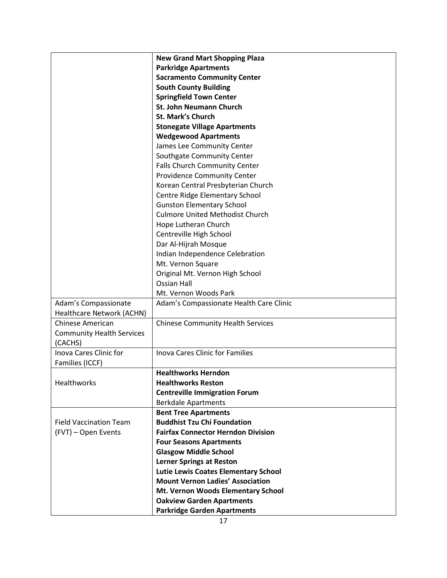|                                  | <b>New Grand Mart Shopping Plaza</b>        |
|----------------------------------|---------------------------------------------|
|                                  | <b>Parkridge Apartments</b>                 |
|                                  | <b>Sacramento Community Center</b>          |
|                                  | <b>South County Building</b>                |
|                                  | <b>Springfield Town Center</b>              |
|                                  | <b>St. John Neumann Church</b>              |
|                                  | <b>St. Mark's Church</b>                    |
|                                  | <b>Stonegate Village Apartments</b>         |
|                                  | <b>Wedgewood Apartments</b>                 |
|                                  | James Lee Community Center                  |
|                                  | Southgate Community Center                  |
|                                  | <b>Falls Church Community Center</b>        |
|                                  | <b>Providence Community Center</b>          |
|                                  | Korean Central Presbyterian Church          |
|                                  | Centre Ridge Elementary School              |
|                                  | <b>Gunston Elementary School</b>            |
|                                  | <b>Culmore United Methodist Church</b>      |
|                                  | Hope Lutheran Church                        |
|                                  | Centreville High School                     |
|                                  | Dar Al-Hijrah Mosque                        |
|                                  | Indian Independence Celebration             |
|                                  | Mt. Vernon Square                           |
|                                  | Original Mt. Vernon High School             |
|                                  | <b>Ossian Hall</b>                          |
|                                  | Mt. Vernon Woods Park                       |
| Adam's Compassionate             | Adam's Compassionate Health Care Clinic     |
| Healthcare Network (ACHN)        |                                             |
| Chinese American                 | <b>Chinese Community Health Services</b>    |
| <b>Community Health Services</b> |                                             |
| (CACHS)                          |                                             |
| <b>Inova Cares Clinic for</b>    | <b>Inova Cares Clinic for Families</b>      |
| Families (ICCF)                  |                                             |
|                                  | <b>Healthworks Herndon</b>                  |
| <b>Healthworks</b>               | <b>Healthworks Reston</b>                   |
|                                  | <b>Centreville Immigration Forum</b>        |
|                                  | <b>Berkdale Apartments</b>                  |
|                                  | <b>Bent Tree Apartments</b>                 |
| <b>Field Vaccination Team</b>    | <b>Buddhist Tzu Chi Foundation</b>          |
| (FVT) - Open Events              | <b>Fairfax Connector Herndon Division</b>   |
|                                  | <b>Four Seasons Apartments</b>              |
|                                  | <b>Glasgow Middle School</b>                |
|                                  | <b>Lerner Springs at Reston</b>             |
|                                  | <b>Lutie Lewis Coates Elementary School</b> |
|                                  | <b>Mount Vernon Ladies' Association</b>     |
|                                  | Mt. Vernon Woods Elementary School          |
|                                  | <b>Oakview Garden Apartments</b>            |
|                                  | <b>Parkridge Garden Apartments</b>          |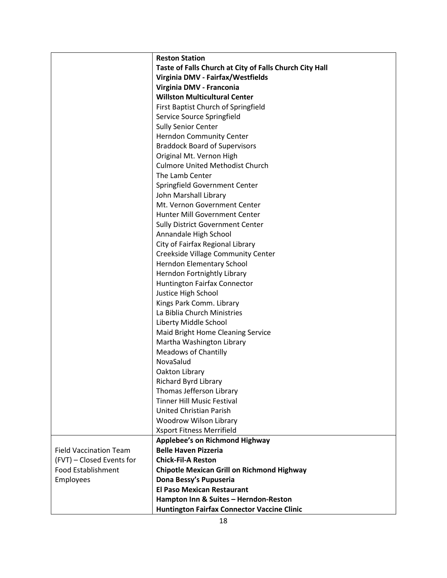|                               | <b>Reston Station</b>                                       |
|-------------------------------|-------------------------------------------------------------|
|                               | Taste of Falls Church at City of Falls Church City Hall     |
|                               | Virginia DMV - Fairfax/Westfields                           |
|                               | Virginia DMV - Franconia                                    |
|                               | <b>Willston Multicultural Center</b>                        |
|                               | First Baptist Church of Springfield                         |
|                               | Service Source Springfield                                  |
|                               | <b>Sully Senior Center</b>                                  |
|                               | Herndon Community Center                                    |
|                               | <b>Braddock Board of Supervisors</b>                        |
|                               | Original Mt. Vernon High                                    |
|                               | <b>Culmore United Methodist Church</b>                      |
|                               | The Lamb Center                                             |
|                               | Springfield Government Center                               |
|                               | John Marshall Library                                       |
|                               | Mt. Vernon Government Center                                |
|                               | Hunter Mill Government Center                               |
|                               | <b>Sully District Government Center</b>                     |
|                               | Annandale High School                                       |
|                               | City of Fairfax Regional Library                            |
|                               | Creekside Village Community Center                          |
|                               | Herndon Elementary School                                   |
|                               | Herndon Fortnightly Library                                 |
|                               | Huntington Fairfax Connector                                |
|                               | Justice High School                                         |
|                               | Kings Park Comm. Library                                    |
|                               | La Biblia Church Ministries                                 |
|                               | Liberty Middle School                                       |
|                               | Maid Bright Home Cleaning Service                           |
|                               | Martha Washington Library                                   |
|                               | <b>Meadows of Chantilly</b>                                 |
|                               | NovaSalud                                                   |
|                               | Oakton Library                                              |
|                               | Richard Byrd Library                                        |
|                               | Thomas Jefferson Library                                    |
|                               | <b>Tinner Hill Music Festival</b>                           |
|                               | <b>United Christian Parish</b>                              |
|                               | Woodrow Wilson Library                                      |
|                               | Xsport Fitness Merrifield                                   |
|                               | Applebee's on Richmond Highway                              |
| <b>Field Vaccination Team</b> | <b>Belle Haven Pizzeria</b>                                 |
| (FVT) - Closed Events for     | <b>Chick-Fil-A Reston</b>                                   |
| <b>Food Establishment</b>     | <b>Chipotle Mexican Grill on Richmond Highway</b>           |
| <b>Employees</b>              | Dona Bessy's Pupuseria<br><b>El Paso Mexican Restaurant</b> |
|                               |                                                             |
|                               | Hampton Inn & Suites - Herndon-Reston                       |
|                               | <b>Huntington Fairfax Connector Vaccine Clinic</b>          |